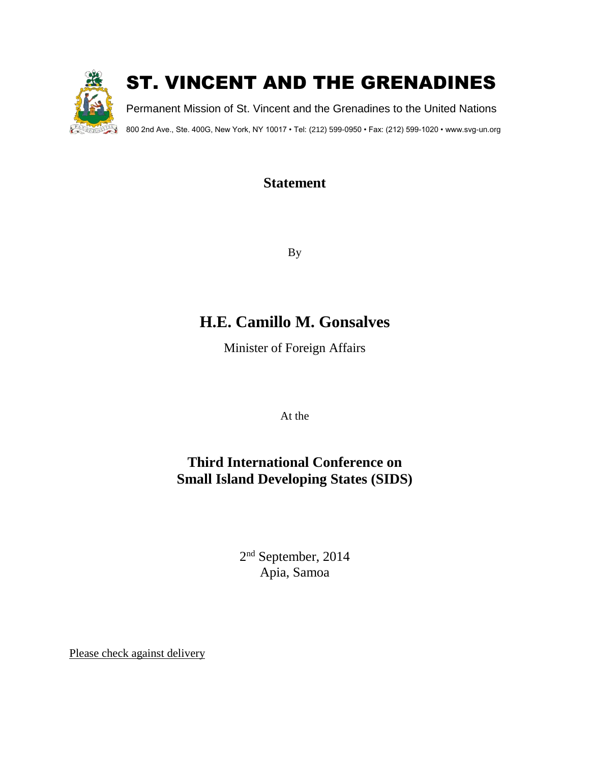

### **Statement**

By

# **H.E. Camillo M. Gonsalves**

Minister of Foreign Affairs

At the

## **Third International Conference on Small Island Developing States (SIDS)**

2<sup>nd</sup> September, 2014 Apia, Samoa

Please check against delivery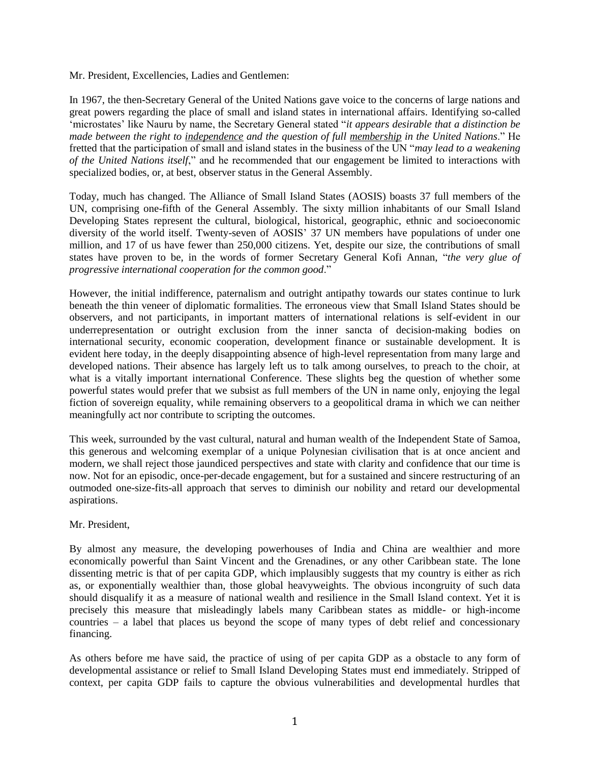Mr. President, Excellencies, Ladies and Gentlemen:

In 1967, the then-Secretary General of the United Nations gave voice to the concerns of large nations and great powers regarding the place of small and island states in international affairs. Identifying so-called 'microstates' like Nauru by name, the Secretary General stated "*it appears desirable that a distinction be made between the right to independence and the question of full membership in the United Nations*." He fretted that the participation of small and island states in the business of the UN "*may lead to a weakening of the United Nations itself*," and he recommended that our engagement be limited to interactions with specialized bodies, or, at best, observer status in the General Assembly.

Today, much has changed. The Alliance of Small Island States (AOSIS) boasts 37 full members of the UN, comprising one-fifth of the General Assembly. The sixty million inhabitants of our Small Island Developing States represent the cultural, biological, historical, geographic, ethnic and socioeconomic diversity of the world itself. Twenty-seven of AOSIS' 37 UN members have populations of under one million, and 17 of us have fewer than 250,000 citizens. Yet, despite our size, the contributions of small states have proven to be, in the words of former Secretary General Kofi Annan, "*the very glue of progressive international cooperation for the common good*."

However, the initial indifference, paternalism and outright antipathy towards our states continue to lurk beneath the thin veneer of diplomatic formalities. The erroneous view that Small Island States should be observers, and not participants, in important matters of international relations is self-evident in our underrepresentation or outright exclusion from the inner sancta of decision-making bodies on international security, economic cooperation, development finance or sustainable development. It is evident here today, in the deeply disappointing absence of high-level representation from many large and developed nations. Their absence has largely left us to talk among ourselves, to preach to the choir, at what is a vitally important international Conference. These slights beg the question of whether some powerful states would prefer that we subsist as full members of the UN in name only, enjoying the legal fiction of sovereign equality, while remaining observers to a geopolitical drama in which we can neither meaningfully act nor contribute to scripting the outcomes.

This week, surrounded by the vast cultural, natural and human wealth of the Independent State of Samoa, this generous and welcoming exemplar of a unique Polynesian civilisation that is at once ancient and modern, we shall reject those jaundiced perspectives and state with clarity and confidence that our time is now. Not for an episodic, once-per-decade engagement, but for a sustained and sincere restructuring of an outmoded one-size-fits-all approach that serves to diminish our nobility and retard our developmental aspirations.

#### Mr. President,

By almost any measure, the developing powerhouses of India and China are wealthier and more economically powerful than Saint Vincent and the Grenadines, or any other Caribbean state. The lone dissenting metric is that of per capita GDP, which implausibly suggests that my country is either as rich as, or exponentially wealthier than, those global heavyweights. The obvious incongruity of such data should disqualify it as a measure of national wealth and resilience in the Small Island context. Yet it is precisely this measure that misleadingly labels many Caribbean states as middle- or high-income countries – a label that places us beyond the scope of many types of debt relief and concessionary financing.

As others before me have said, the practice of using of per capita GDP as a obstacle to any form of developmental assistance or relief to Small Island Developing States must end immediately. Stripped of context, per capita GDP fails to capture the obvious vulnerabilities and developmental hurdles that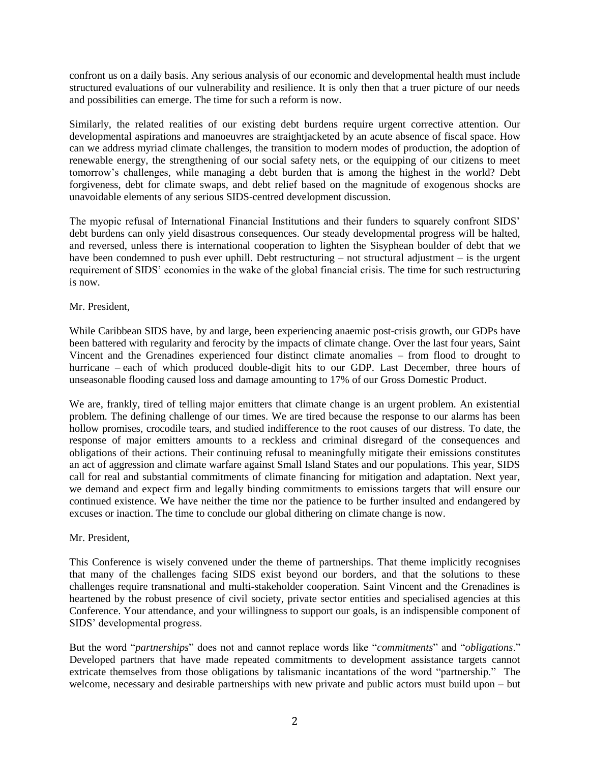confront us on a daily basis. Any serious analysis of our economic and developmental health must include structured evaluations of our vulnerability and resilience. It is only then that a truer picture of our needs and possibilities can emerge. The time for such a reform is now.

Similarly, the related realities of our existing debt burdens require urgent corrective attention. Our developmental aspirations and manoeuvres are straightjacketed by an acute absence of fiscal space. How can we address myriad climate challenges, the transition to modern modes of production, the adoption of renewable energy, the strengthening of our social safety nets, or the equipping of our citizens to meet tomorrow's challenges, while managing a debt burden that is among the highest in the world? Debt forgiveness, debt for climate swaps, and debt relief based on the magnitude of exogenous shocks are unavoidable elements of any serious SIDS-centred development discussion.

The myopic refusal of International Financial Institutions and their funders to squarely confront SIDS' debt burdens can only yield disastrous consequences. Our steady developmental progress will be halted, and reversed, unless there is international cooperation to lighten the Sisyphean boulder of debt that we have been condemned to push ever uphill. Debt restructuring – not structural adjustment – is the urgent requirement of SIDS' economies in the wake of the global financial crisis. The time for such restructuring is now.

#### Mr. President,

While Caribbean SIDS have, by and large, been experiencing anaemic post-crisis growth, our GDPs have been battered with regularity and ferocity by the impacts of climate change. Over the last four years, Saint Vincent and the Grenadines experienced four distinct climate anomalies – from flood to drought to hurricane – each of which produced double-digit hits to our GDP. Last December, three hours of unseasonable flooding caused loss and damage amounting to 17% of our Gross Domestic Product.

We are, frankly, tired of telling major emitters that climate change is an urgent problem. An existential problem. The defining challenge of our times. We are tired because the response to our alarms has been hollow promises, crocodile tears, and studied indifference to the root causes of our distress. To date, the response of major emitters amounts to a reckless and criminal disregard of the consequences and obligations of their actions. Their continuing refusal to meaningfully mitigate their emissions constitutes an act of aggression and climate warfare against Small Island States and our populations. This year, SIDS call for real and substantial commitments of climate financing for mitigation and adaptation. Next year, we demand and expect firm and legally binding commitments to emissions targets that will ensure our continued existence. We have neither the time nor the patience to be further insulted and endangered by excuses or inaction. The time to conclude our global dithering on climate change is now.

#### Mr. President,

This Conference is wisely convened under the theme of partnerships. That theme implicitly recognises that many of the challenges facing SIDS exist beyond our borders, and that the solutions to these challenges require transnational and multi-stakeholder cooperation. Saint Vincent and the Grenadines is heartened by the robust presence of civil society, private sector entities and specialised agencies at this Conference. Your attendance, and your willingness to support our goals, is an indispensible component of SIDS' developmental progress.

But the word "*partnerships*" does not and cannot replace words like "*commitments*" and "*obligations*." Developed partners that have made repeated commitments to development assistance targets cannot extricate themselves from those obligations by talismanic incantations of the word "partnership." The welcome, necessary and desirable partnerships with new private and public actors must build upon – but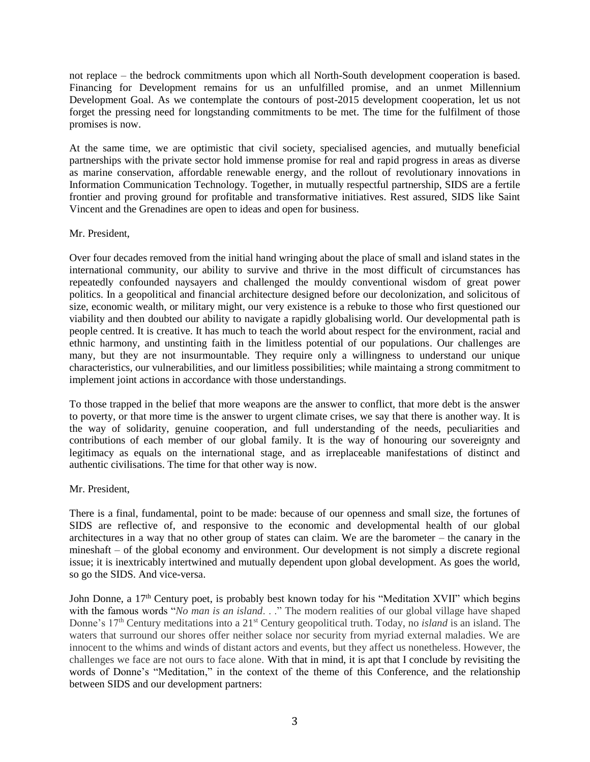not replace – the bedrock commitments upon which all North-South development cooperation is based. Financing for Development remains for us an unfulfilled promise, and an unmet Millennium Development Goal. As we contemplate the contours of post-2015 development cooperation, let us not forget the pressing need for longstanding commitments to be met. The time for the fulfilment of those promises is now.

At the same time, we are optimistic that civil society, specialised agencies, and mutually beneficial partnerships with the private sector hold immense promise for real and rapid progress in areas as diverse as marine conservation, affordable renewable energy, and the rollout of revolutionary innovations in Information Communication Technology. Together, in mutually respectful partnership, SIDS are a fertile frontier and proving ground for profitable and transformative initiatives. Rest assured, SIDS like Saint Vincent and the Grenadines are open to ideas and open for business.

#### Mr. President,

Over four decades removed from the initial hand wringing about the place of small and island states in the international community, our ability to survive and thrive in the most difficult of circumstances has repeatedly confounded naysayers and challenged the mouldy conventional wisdom of great power politics. In a geopolitical and financial architecture designed before our decolonization, and solicitous of size, economic wealth, or military might, our very existence is a rebuke to those who first questioned our viability and then doubted our ability to navigate a rapidly globalising world. Our developmental path is people centred. It is creative. It has much to teach the world about respect for the environment, racial and ethnic harmony, and unstinting faith in the limitless potential of our populations. Our challenges are many, but they are not insurmountable. They require only a willingness to understand our unique characteristics, our vulnerabilities, and our limitless possibilities; while maintaing a strong commitment to implement joint actions in accordance with those understandings.

To those trapped in the belief that more weapons are the answer to conflict, that more debt is the answer to poverty, or that more time is the answer to urgent climate crises, we say that there is another way. It is the way of solidarity, genuine cooperation, and full understanding of the needs, peculiarities and contributions of each member of our global family. It is the way of honouring our sovereignty and legitimacy as equals on the international stage, and as irreplaceable manifestations of distinct and authentic civilisations. The time for that other way is now.

#### Mr. President,

There is a final, fundamental, point to be made: because of our openness and small size, the fortunes of SIDS are reflective of, and responsive to the economic and developmental health of our global architectures in a way that no other group of states can claim. We are the barometer – the canary in the mineshaft – of the global economy and environment. Our development is not simply a discrete regional issue; it is inextricably intertwined and mutually dependent upon global development. As goes the world, so go the SIDS. And vice-versa.

John Donne, a 17<sup>th</sup> Century poet, is probably best known today for his "Meditation XVII" which begins with the famous words "*No man is an island...*" The modern realities of our global village have shaped Donne's 17<sup>th</sup> Century meditations into a 21<sup>st</sup> Century geopolitical truth. Today, no *island* is an island. The waters that surround our shores offer neither solace nor security from myriad external maladies. We are innocent to the whims and winds of distant actors and events, but they affect us nonetheless. However, the challenges we face are not ours to face alone. With that in mind, it is apt that I conclude by revisiting the words of Donne's "Meditation," in the context of the theme of this Conference, and the relationship between SIDS and our development partners: